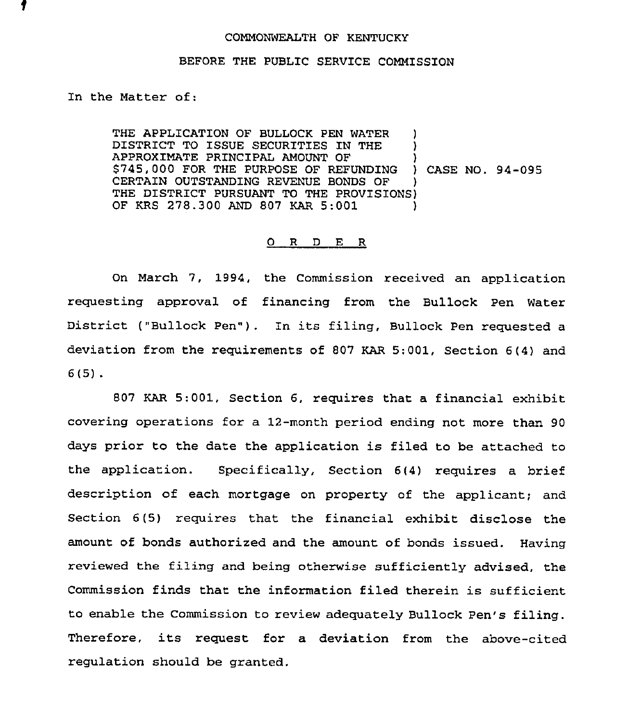## COMMONWEALTH OF KENTUCKY

## BEFORE THE PUBLIC SERVICE COMMISSION

In the Matter of:

THE APPLICATION OF BULLOCK PEN WATER DISTRICT TO ISSUE SECURITIES IN THE APPROXIMATE PRINCIPAL AMOUNT OF ) \$745,000 FOR THE PURPOSE QF REFUNDING ) CASE NO. 94-095 CERTAIN OUTSTANDING REVENUE BONDS OF ) THE DISTRICT PURSUANT TO THE PROVISIONS) OF KRS 278.300 AND 807 KAR 5:001 )

## 0 R <sup>D</sup> E R

On March 7, 1994, the Commission received an application requesting approval of financing from the Bullock Pen Water District ("Bullock Pen") . In its filing. Bullock Pen requested <sup>a</sup> deviation from the requirements of 807 KAR 5;001, Section 6(4) and 6(5) .

807 KAR 5:001, Section 6, requires that a financial exhibit covering operations for a 12-month period ending not more than 90 days prior to the date the application is filed to be attached to the application. Specifically, Section 6(4) requires a brief description of each mortgage on property of the applicant; and Section 6(5) requires that the financial exhibit disclose the amount of bonds authorized and the amount of bonds issued. Having reviewed the filing and being otherwise sufficiently advised, the Commission finds that the information filed therein is sufficient to enable the Commission to review adequately Bullock Pen's filing. Therefore, its request for a deviation from the above-cited regulation should be granted.